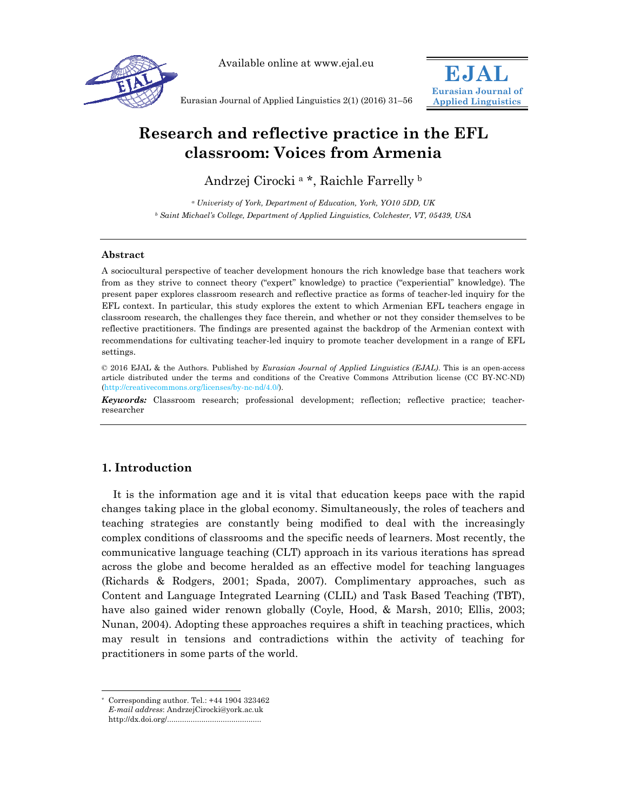

Available online at www.ejal.eu



Eurasian Journal of Applied Linguistics 2(1) (2016) 31–56

# **Research and reflective practice in the EFL classroom: Voices from Armenia**

Andrzej Cirocki a \*, Raichle Farrelly b

*a Univeristy of York, Department of Education, York, YO10 5DD, UK b Saint Michael's College, Department of Applied Linguistics, Colchester, VT, 05439, USA* 

### **Abstract**

A sociocultural perspective of teacher development honours the rich knowledge base that teachers work from as they strive to connect theory ("expert" knowledge) to practice ("experiential" knowledge). The present paper explores classroom research and reflective practice as forms of teacher-led inquiry for the EFL context. In particular, this study explores the extent to which Armenian EFL teachers engage in classroom research, the challenges they face therein, and whether or not they consider themselves to be reflective practitioners. The findings are presented against the backdrop of the Armenian context with recommendations for cultivating teacher-led inquiry to promote teacher development in a range of EFL settings.

© 2016 EJAL & the Authors. Published by *Eurasian Journal of Applied Linguistics (EJAL)*. This is an open-access article distributed under the terms and conditions of the Creative Commons Attribution license (CC BY-NC-ND) (http://creativecommons.org/licenses/by-nc-nd/4.0/).

*Keywords:* Classroom research; professional development; reflection; reflective practice; teacherresearcher

# **1. Introduction**

It is the information age and it is vital that education keeps pace with the rapid changes taking place in the global economy. Simultaneously, the roles of teachers and teaching strategies are constantly being modified to deal with the increasingly complex conditions of classrooms and the specific needs of learners. Most recently, the communicative language teaching (CLT) approach in its various iterations has spread across the globe and become heralded as an effective model for teaching languages (Richards & Rodgers, 2001; Spada, 2007). Complimentary approaches, such as Content and Language Integrated Learning (CLIL) and Task Based Teaching (TBT), have also gained wider renown globally (Coyle, Hood, & Marsh, 2010; Ellis, 2003; Nunan, 2004). Adopting these approaches requires a shift in teaching practices, which may result in tensions and contradictions within the activity of teaching for practitioners in some parts of the world.

l

Corresponding author. Tel.:  $+44$  1904 323462 *E-mail address*: AndrzejCirocki@york.ac.uk http://dx.doi.org/............................................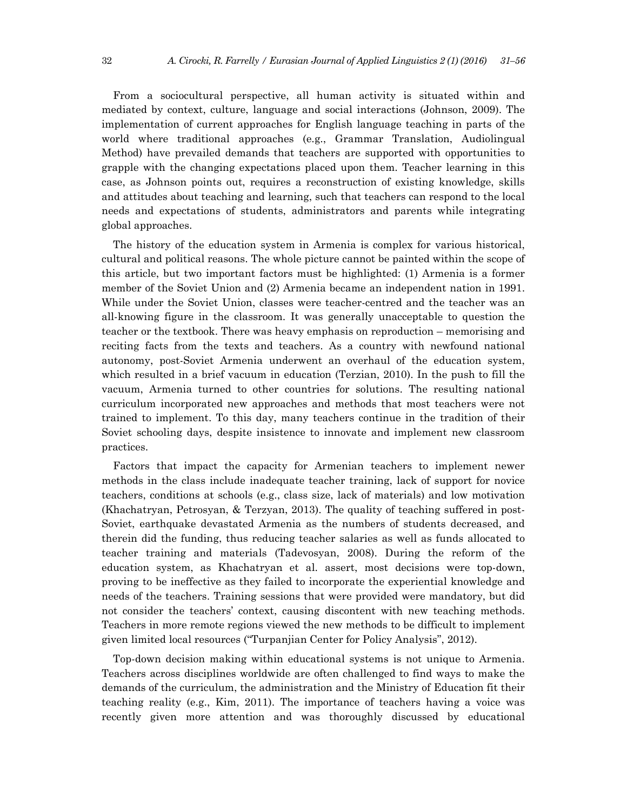From a sociocultural perspective, all human activity is situated within and mediated by context, culture, language and social interactions (Johnson, 2009). The implementation of current approaches for English language teaching in parts of the world where traditional approaches (e.g., Grammar Translation, Audiolingual Method) have prevailed demands that teachers are supported with opportunities to grapple with the changing expectations placed upon them. Teacher learning in this case, as Johnson points out, requires a reconstruction of existing knowledge, skills and attitudes about teaching and learning, such that teachers can respond to the local needs and expectations of students, administrators and parents while integrating global approaches.

The history of the education system in Armenia is complex for various historical, cultural and political reasons. The whole picture cannot be painted within the scope of this article, but two important factors must be highlighted: (1) Armenia is a former member of the Soviet Union and (2) Armenia became an independent nation in 1991. While under the Soviet Union, classes were teacher-centred and the teacher was an all-knowing figure in the classroom. It was generally unacceptable to question the teacher or the textbook. There was heavy emphasis on reproduction – memorising and reciting facts from the texts and teachers. As a country with newfound national autonomy, post-Soviet Armenia underwent an overhaul of the education system, which resulted in a brief vacuum in education (Terzian, 2010). In the push to fill the vacuum, Armenia turned to other countries for solutions. The resulting national curriculum incorporated new approaches and methods that most teachers were not trained to implement. To this day, many teachers continue in the tradition of their Soviet schooling days, despite insistence to innovate and implement new classroom practices.

Factors that impact the capacity for Armenian teachers to implement newer methods in the class include inadequate teacher training, lack of support for novice teachers, conditions at schools (e.g., class size, lack of materials) and low motivation (Khachatryan, Petrosyan, & Terzyan, 2013). The quality of teaching suffered in post-Soviet, earthquake devastated Armenia as the numbers of students decreased, and therein did the funding, thus reducing teacher salaries as well as funds allocated to teacher training and materials (Tadevosyan, 2008). During the reform of the education system, as Khachatryan et al. assert, most decisions were top-down, proving to be ineffective as they failed to incorporate the experiential knowledge and needs of the teachers. Training sessions that were provided were mandatory, but did not consider the teachers' context, causing discontent with new teaching methods. Teachers in more remote regions viewed the new methods to be difficult to implement given limited local resources ("Turpanjian Center for Policy Analysis", 2012).

Top-down decision making within educational systems is not unique to Armenia. Teachers across disciplines worldwide are often challenged to find ways to make the demands of the curriculum, the administration and the Ministry of Education fit their teaching reality (e.g., Kim, 2011). The importance of teachers having a voice was recently given more attention and was thoroughly discussed by educational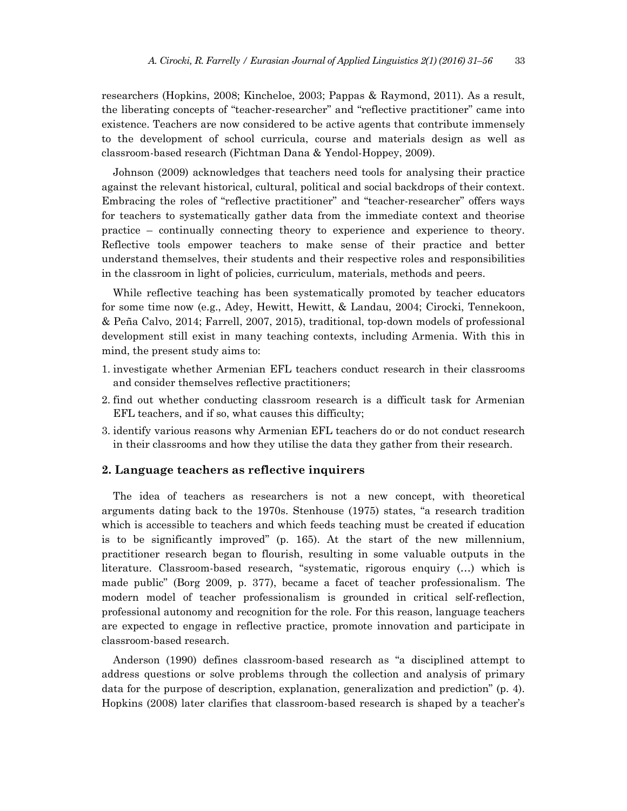researchers (Hopkins, 2008; Kincheloe, 2003; Pappas & Raymond, 2011). As a result, the liberating concepts of "teacher-researcher" and "reflective practitioner" came into existence. Teachers are now considered to be active agents that contribute immensely to the development of school curricula, course and materials design as well as classroom-based research (Fichtman Dana & Yendol-Hoppey, 2009).

Johnson (2009) acknowledges that teachers need tools for analysing their practice against the relevant historical, cultural, political and social backdrops of their context. Embracing the roles of "reflective practitioner" and "teacher-researcher" offers ways for teachers to systematically gather data from the immediate context and theorise practice – continually connecting theory to experience and experience to theory. Reflective tools empower teachers to make sense of their practice and better understand themselves, their students and their respective roles and responsibilities in the classroom in light of policies, curriculum, materials, methods and peers.

While reflective teaching has been systematically promoted by teacher educators for some time now (e.g., Adey, Hewitt, Hewitt, & Landau, 2004; Cirocki, Tennekoon, & Peña Calvo, 2014; Farrell, 2007, 2015), traditional, top-down models of professional development still exist in many teaching contexts, including Armenia. With this in mind, the present study aims to:

- 1. investigate whether Armenian EFL teachers conduct research in their classrooms and consider themselves reflective practitioners;
- 2. find out whether conducting classroom research is a difficult task for Armenian EFL teachers, and if so, what causes this difficulty;
- 3. identify various reasons why Armenian EFL teachers do or do not conduct research in their classrooms and how they utilise the data they gather from their research.

### **2. Language teachers as reflective inquirers**

The idea of teachers as researchers is not a new concept, with theoretical arguments dating back to the 1970s. Stenhouse (1975) states, "a research tradition which is accessible to teachers and which feeds teaching must be created if education is to be significantly improved" (p. 165). At the start of the new millennium, practitioner research began to flourish, resulting in some valuable outputs in the literature. Classroom-based research, "systematic, rigorous enquiry (…) which is made public" (Borg 2009, p. 377), became a facet of teacher professionalism. The modern model of teacher professionalism is grounded in critical self-reflection, professional autonomy and recognition for the role. For this reason, language teachers are expected to engage in reflective practice, promote innovation and participate in classroom-based research.

Anderson (1990) defines classroom-based research as "a disciplined attempt to address questions or solve problems through the collection and analysis of primary data for the purpose of description, explanation, generalization and prediction" (p. 4). Hopkins (2008) later clarifies that classroom-based research is shaped by a teacher's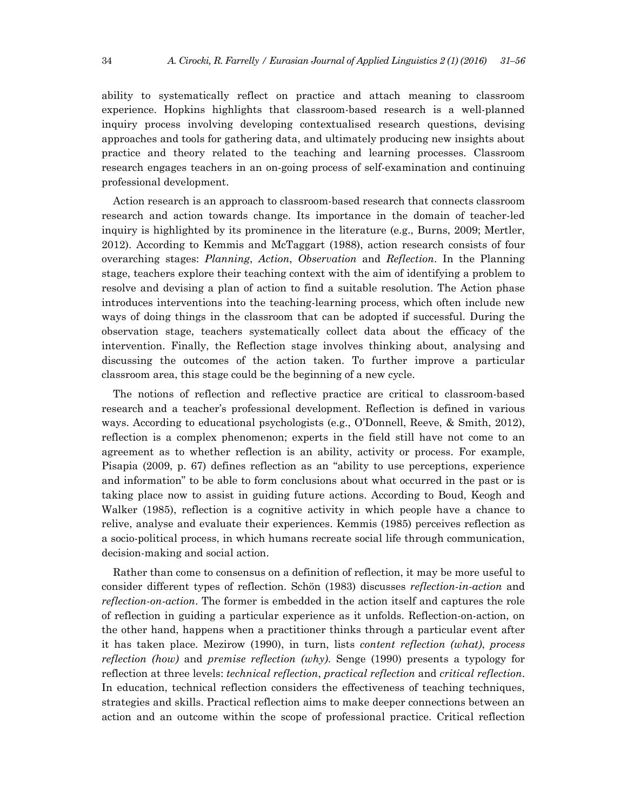ability to systematically reflect on practice and attach meaning to classroom experience. Hopkins highlights that classroom-based research is a well-planned inquiry process involving developing contextualised research questions, devising approaches and tools for gathering data, and ultimately producing new insights about practice and theory related to the teaching and learning processes. Classroom research engages teachers in an on-going process of self-examination and continuing professional development.

Action research is an approach to classroom-based research that connects classroom research and action towards change. Its importance in the domain of teacher-led inquiry is highlighted by its prominence in the literature (e.g., Burns, 2009; Mertler, 2012). According to Kemmis and McTaggart (1988), action research consists of four overarching stages: *Planning*, *Action*, *Observation* and *Reflection*. In the Planning stage, teachers explore their teaching context with the aim of identifying a problem to resolve and devising a plan of action to find a suitable resolution. The Action phase introduces interventions into the teaching-learning process, which often include new ways of doing things in the classroom that can be adopted if successful. During the observation stage, teachers systematically collect data about the efficacy of the intervention. Finally, the Reflection stage involves thinking about, analysing and discussing the outcomes of the action taken. To further improve a particular classroom area, this stage could be the beginning of a new cycle.

The notions of reflection and reflective practice are critical to classroom-based research and a teacher's professional development. Reflection is defined in various ways. According to educational psychologists (e.g., O'Donnell, Reeve, & Smith, 2012), reflection is a complex phenomenon; experts in the field still have not come to an agreement as to whether reflection is an ability, activity or process. For example, Pisapia (2009, p. 67) defines reflection as an "ability to use perceptions, experience and information" to be able to form conclusions about what occurred in the past or is taking place now to assist in guiding future actions. According to Boud, Keogh and Walker (1985), reflection is a cognitive activity in which people have a chance to relive, analyse and evaluate their experiences. Kemmis (1985) perceives reflection as a socio-political process, in which humans recreate social life through communication, decision-making and social action.

Rather than come to consensus on a definition of reflection, it may be more useful to consider different types of reflection. Schön (1983) discusses *reflection-in-action* and *reflection-on-action*. The former is embedded in the action itself and captures the role of reflection in guiding a particular experience as it unfolds. Reflection-on-action, on the other hand, happens when a practitioner thinks through a particular event after it has taken place. Mezirow (1990), in turn, lists *content reflection (what)*, *process reflection (how)* and *premise reflection (why)*. Senge (1990) presents a typology for reflection at three levels: *technical reflection*, *practical reflection* and *critical reflection*. In education, technical reflection considers the effectiveness of teaching techniques, strategies and skills. Practical reflection aims to make deeper connections between an action and an outcome within the scope of professional practice. Critical reflection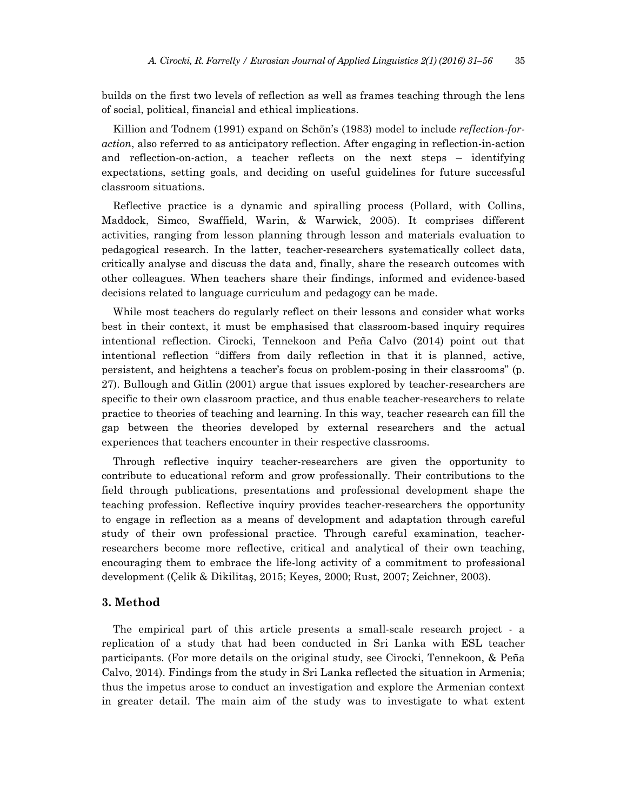builds on the first two levels of reflection as well as frames teaching through the lens of social, political, financial and ethical implications.

Killion and Todnem (1991) expand on Schön's (1983) model to include *reflection-foraction*, also referred to as anticipatory reflection. After engaging in reflection-in-action and reflection-on-action, a teacher reflects on the next steps – identifying expectations, setting goals, and deciding on useful guidelines for future successful classroom situations.

Reflective practice is a dynamic and spiralling process (Pollard, with Collins, Maddock, Simco, Swaffield, Warin, & Warwick, 2005). It comprises different activities, ranging from lesson planning through lesson and materials evaluation to pedagogical research. In the latter, teacher-researchers systematically collect data, critically analyse and discuss the data and, finally, share the research outcomes with other colleagues. When teachers share their findings, informed and evidence-based decisions related to language curriculum and pedagogy can be made.

While most teachers do regularly reflect on their lessons and consider what works best in their context, it must be emphasised that classroom-based inquiry requires intentional reflection. Cirocki, Tennekoon and Peña Calvo (2014) point out that intentional reflection "differs from daily reflection in that it is planned, active, persistent, and heightens a teacher's focus on problem-posing in their classrooms" (p. 27). Bullough and Gitlin (2001) argue that issues explored by teacher-researchers are specific to their own classroom practice, and thus enable teacher-researchers to relate practice to theories of teaching and learning. In this way, teacher research can fill the gap between the theories developed by external researchers and the actual experiences that teachers encounter in their respective classrooms.

Through reflective inquiry teacher-researchers are given the opportunity to contribute to educational reform and grow professionally. Their contributions to the field through publications, presentations and professional development shape the teaching profession. Reflective inquiry provides teacher-researchers the opportunity to engage in reflection as a means of development and adaptation through careful study of their own professional practice. Through careful examination, teacherresearchers become more reflective, critical and analytical of their own teaching, encouraging them to embrace the life-long activity of a commitment to professional development (Çelik & Dikilitaş, 2015; Keyes, 2000; Rust, 2007; Zeichner, 2003).

## **3. Method**

The empirical part of this article presents a small-scale research project - a replication of a study that had been conducted in Sri Lanka with ESL teacher participants. (For more details on the original study, see Cirocki, Tennekoon, & Peña Calvo, 2014). Findings from the study in Sri Lanka reflected the situation in Armenia; thus the impetus arose to conduct an investigation and explore the Armenian context in greater detail. The main aim of the study was to investigate to what extent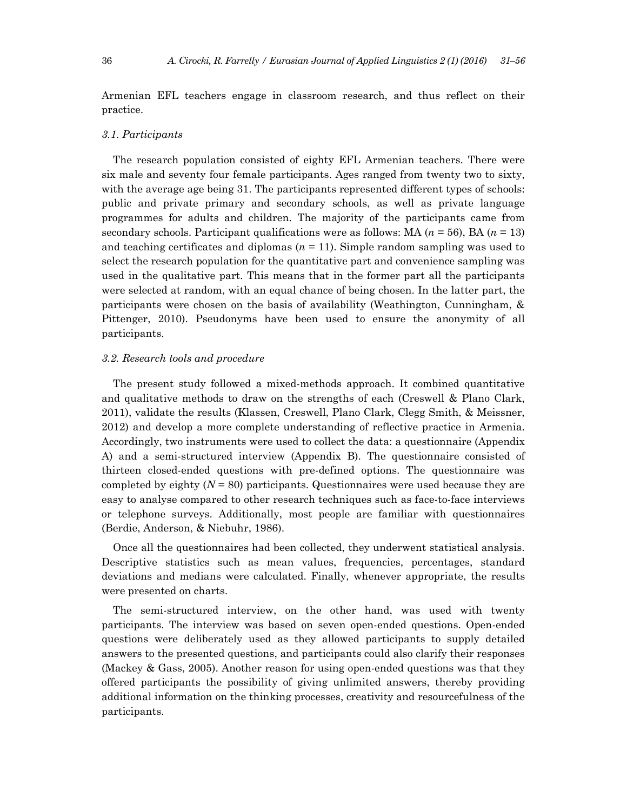Armenian EFL teachers engage in classroom research, and thus reflect on their practice.

### *3.1. Participants*

The research population consisted of eighty EFL Armenian teachers. There were six male and seventy four female participants. Ages ranged from twenty two to sixty, with the average age being 31. The participants represented different types of schools: public and private primary and secondary schools, as well as private language programmes for adults and children. The majority of the participants came from secondary schools. Participant qualifications were as follows: MA (*n* = 56), BA (*n* = 13) and teaching certificates and diplomas  $(n = 11)$ . Simple random sampling was used to select the research population for the quantitative part and convenience sampling was used in the qualitative part. This means that in the former part all the participants were selected at random, with an equal chance of being chosen. In the latter part, the participants were chosen on the basis of availability (Weathington, Cunningham, & Pittenger, 2010). Pseudonyms have been used to ensure the anonymity of all participants.

### *3.2. Research tools and procedure*

The present study followed a mixed-methods approach. It combined quantitative and qualitative methods to draw on the strengths of each (Creswell & Plano Clark, 2011), validate the results (Klassen, Creswell, Plano Clark, Clegg Smith, & Meissner, 2012) and develop a more complete understanding of reflective practice in Armenia. Accordingly, two instruments were used to collect the data: a questionnaire (Appendix A) and a semi-structured interview (Appendix B). The questionnaire consisted of thirteen closed-ended questions with pre-defined options. The questionnaire was completed by eighty  $(N = 80)$  participants. Questionnaires were used because they are easy to analyse compared to other research techniques such as face-to-face interviews or telephone surveys. Additionally, most people are familiar with questionnaires (Berdie, Anderson, & Niebuhr, 1986).

Once all the questionnaires had been collected, they underwent statistical analysis. Descriptive statistics such as mean values, frequencies, percentages, standard deviations and medians were calculated. Finally, whenever appropriate, the results were presented on charts.

The semi-structured interview, on the other hand, was used with twenty participants. The interview was based on seven open-ended questions. Open-ended questions were deliberately used as they allowed participants to supply detailed answers to the presented questions, and participants could also clarify their responses (Mackey & Gass, 2005). Another reason for using open-ended questions was that they offered participants the possibility of giving unlimited answers, thereby providing additional information on the thinking processes, creativity and resourcefulness of the participants.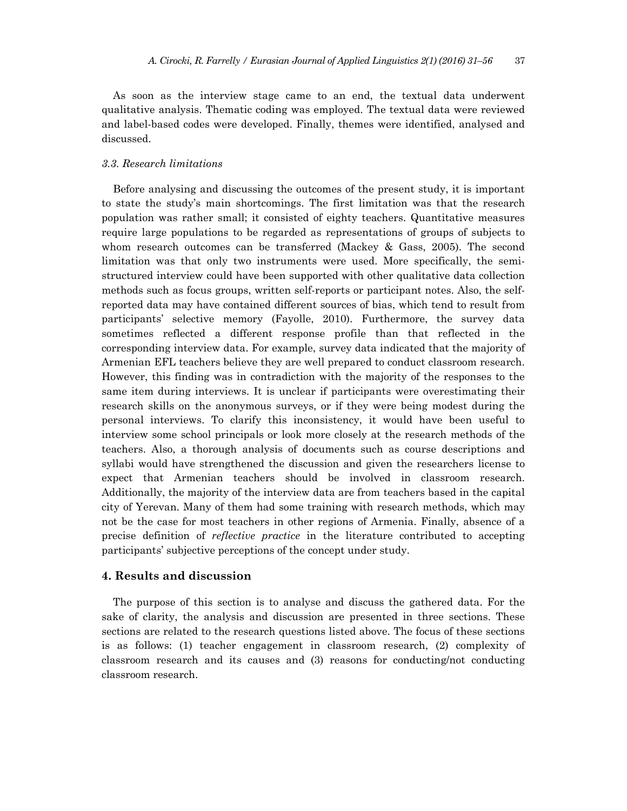As soon as the interview stage came to an end, the textual data underwent qualitative analysis. Thematic coding was employed. The textual data were reviewed and label-based codes were developed. Finally, themes were identified, analysed and discussed.

## *3.3. Research limitations*

Before analysing and discussing the outcomes of the present study, it is important to state the study's main shortcomings. The first limitation was that the research population was rather small; it consisted of eighty teachers. Quantitative measures require large populations to be regarded as representations of groups of subjects to whom research outcomes can be transferred (Mackey & Gass, 2005). The second limitation was that only two instruments were used. More specifically, the semistructured interview could have been supported with other qualitative data collection methods such as focus groups, written self-reports or participant notes. Also, the selfreported data may have contained different sources of bias, which tend to result from participants' selective memory (Fayolle, 2010). Furthermore, the survey data sometimes reflected a different response profile than that reflected in the corresponding interview data. For example, survey data indicated that the majority of Armenian EFL teachers believe they are well prepared to conduct classroom research. However, this finding was in contradiction with the majority of the responses to the same item during interviews. It is unclear if participants were overestimating their research skills on the anonymous surveys, or if they were being modest during the personal interviews. To clarify this inconsistency, it would have been useful to interview some school principals or look more closely at the research methods of the teachers. Also, a thorough analysis of documents such as course descriptions and syllabi would have strengthened the discussion and given the researchers license to expect that Armenian teachers should be involved in classroom research. Additionally, the majority of the interview data are from teachers based in the capital city of Yerevan. Many of them had some training with research methods, which may not be the case for most teachers in other regions of Armenia. Finally, absence of a precise definition of *reflective practice* in the literature contributed to accepting participants' subjective perceptions of the concept under study.

# **4. Results and discussion**

The purpose of this section is to analyse and discuss the gathered data. For the sake of clarity, the analysis and discussion are presented in three sections. These sections are related to the research questions listed above. The focus of these sections is as follows: (1) teacher engagement in classroom research, (2) complexity of classroom research and its causes and (3) reasons for conducting/not conducting classroom research.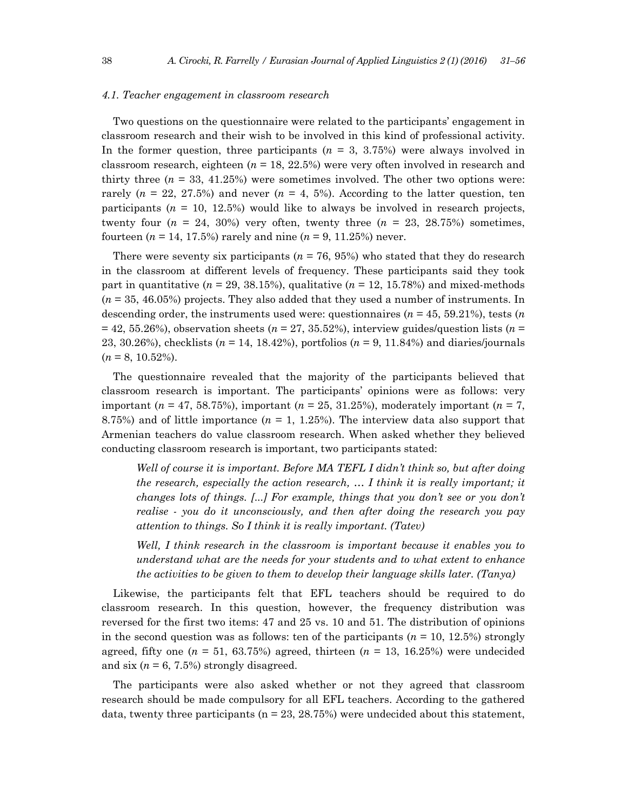#### *4.1. Teacher engagement in classroom research*

Two questions on the questionnaire were related to the participants' engagement in classroom research and their wish to be involved in this kind of professional activity. In the former question, three participants (*n* = 3, 3.75%) were always involved in classroom research, eighteen (*n* = 18, 22.5%) were very often involved in research and thirty three  $(n = 33, 41.25%)$  were sometimes involved. The other two options were: rarely ( $n = 22, 27.5\%$ ) and never ( $n = 4, 5\%$ ). According to the latter question, ten participants  $(n = 10, 12.5%)$  would like to always be involved in research projects, twenty four  $(n = 24, 30\%)$  very often, twenty three  $(n = 23, 28.75\%)$  sometimes, fourteen  $(n = 14, 17.5%)$  rarely and nine  $(n = 9, 11.25%)$  never.

There were seventy six participants  $(n = 76, 95%)$  who stated that they do research in the classroom at different levels of frequency. These participants said they took part in quantitative ( $n = 29, 38.15\%$ ), qualitative ( $n = 12, 15.78\%$ ) and mixed-methods (*n* = 35, 46.05%) projects. They also added that they used a number of instruments. In descending order, the instruments used were: questionnaires (*n* = 45, 59.21%), tests (*n*  $= 42, 55.26\%$ ), observation sheets ( $n = 27, 35.52\%$ ), interview guides/question lists ( $n = 1$ ) 23, 30.26%), checklists (*n* = 14, 18.42%), portfolios (*n* = 9, 11.84%) and diaries/journals  $(n = 8, 10.52\%).$ 

The questionnaire revealed that the majority of the participants believed that classroom research is important. The participants' opinions were as follows: very important (*n* = 47, 58.75%), important (*n* = 25, 31.25%), moderately important (*n* = 7, 8.75%) and of little importance  $(n = 1, 1.25)$ . The interview data also support that Armenian teachers do value classroom research. When asked whether they believed conducting classroom research is important, two participants stated:

*Well of course it is important. Before MA TEFL I didn't think so, but after doing the research, especially the action research, … I think it is really important; it changes lots of things. [...] For example, things that you don't see or you don't realise - you do it unconsciously, and then after doing the research you pay attention to things. So I think it is really important. (Tatev)* 

*Well, I think research in the classroom is important because it enables you to understand what are the needs for your students and to what extent to enhance the activities to be given to them to develop their language skills later. (Tanya)* 

Likewise, the participants felt that EFL teachers should be required to do classroom research. In this question, however, the frequency distribution was reversed for the first two items: 47 and 25 vs. 10 and 51. The distribution of opinions in the second question was as follows: ten of the participants  $(n = 10, 12.5%)$  strongly agreed, fifty one  $(n = 51, 63.75%)$  agreed, thirteen  $(n = 13, 16.25%)$  were undecided and six  $(n = 6, 7.5\%)$  strongly disagreed.

The participants were also asked whether or not they agreed that classroom research should be made compulsory for all EFL teachers. According to the gathered data, twenty three participants ( $n = 23, 28.75\%$ ) were undecided about this statement,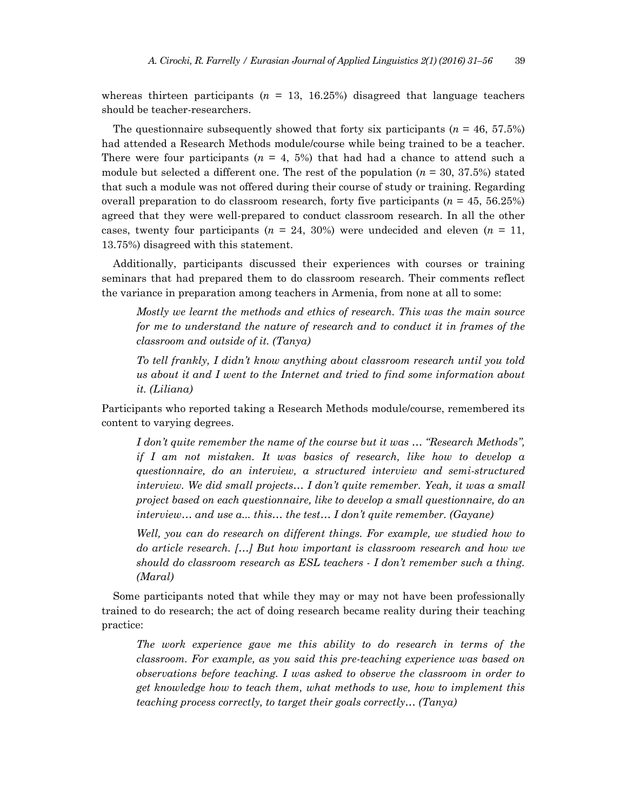whereas thirteen participants  $(n = 13, 16.25%)$  disagreed that language teachers should be teacher-researchers.

The questionnaire subsequently showed that forty six participants  $(n = 46, 57.5\%)$ had attended a Research Methods module/course while being trained to be a teacher. There were four participants ( $n = 4, 5\%$ ) that had had a chance to attend such a module but selected a different one. The rest of the population  $(n = 30, 37.5%)$  stated that such a module was not offered during their course of study or training. Regarding overall preparation to do classroom research, forty five participants (*n* = 45, 56.25%) agreed that they were well-prepared to conduct classroom research. In all the other cases, twenty four participants  $(n = 24, 30%)$  were undecided and eleven  $(n = 11, ...)$ 13.75%) disagreed with this statement.

Additionally, participants discussed their experiences with courses or training seminars that had prepared them to do classroom research. Their comments reflect the variance in preparation among teachers in Armenia, from none at all to some:

*Mostly we learnt the methods and ethics of research. This was the main source for me to understand the nature of research and to conduct it in frames of the classroom and outside of it. (Tanya)* 

*To tell frankly, I didn't know anything about classroom research until you told us about it and I went to the Internet and tried to find some information about it. (Liliana)* 

Participants who reported taking a Research Methods module/course, remembered its content to varying degrees.

*I don't quite remember the name of the course but it was … "Research Methods", if I am not mistaken. It was basics of research, like how to develop a questionnaire, do an interview, a structured interview and semi-structured interview. We did small projects… I don't quite remember. Yeah, it was a small project based on each questionnaire, like to develop a small questionnaire, do an interview… and use a... this… the test… I don't quite remember. (Gayane)* 

Well, you can do research on different things. For example, we studied how to *do article research. […] But how important is classroom research and how we should do classroom research as ESL teachers - I don't remember such a thing. (Maral)* 

Some participants noted that while they may or may not have been professionally trained to do research; the act of doing research became reality during their teaching practice:

*The work experience gave me this ability to do research in terms of the classroom. For example, as you said this pre-teaching experience was based on observations before teaching. I was asked to observe the classroom in order to get knowledge how to teach them, what methods to use, how to implement this teaching process correctly, to target their goals correctly… (Tanya)*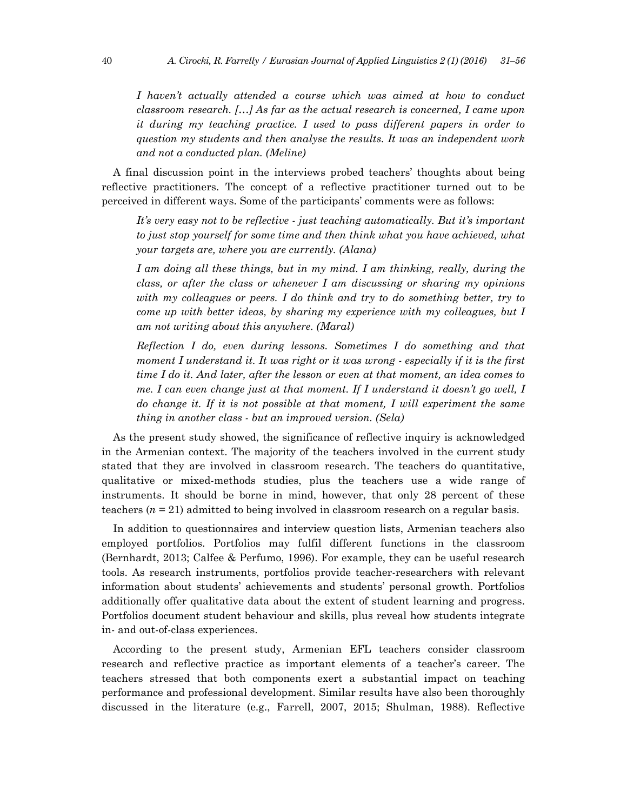*I haven't actually attended a course which was aimed at how to conduct classroom research. […] As far as the actual research is concerned, I came upon it during my teaching practice. I used to pass different papers in order to question my students and then analyse the results. It was an independent work and not a conducted plan. (Meline)*

A final discussion point in the interviews probed teachers' thoughts about being reflective practitioners. The concept of a reflective practitioner turned out to be perceived in different ways. Some of the participants' comments were as follows:

*It's very easy not to be reflective - just teaching automatically. But it's important to just stop yourself for some time and then think what you have achieved, what your targets are, where you are currently. (Alana)* 

*I am doing all these things, but in my mind. I am thinking, really, during the class, or after the class or whenever I am discussing or sharing my opinions with my colleagues or peers. I do think and try to do something better, try to come up with better ideas, by sharing my experience with my colleagues, but I am not writing about this anywhere. (Maral)* 

*Reflection I do, even during lessons. Sometimes I do something and that moment I understand it. It was right or it was wrong - especially if it is the first time I do it. And later, after the lesson or even at that moment, an idea comes to me. I can even change just at that moment. If I understand it doesn't go well, I*  do change it. If it is not possible at that moment, I will experiment the same *thing in another class - but an improved version. (Sela)* 

As the present study showed, the significance of reflective inquiry is acknowledged in the Armenian context. The majority of the teachers involved in the current study stated that they are involved in classroom research. The teachers do quantitative, qualitative or mixed-methods studies, plus the teachers use a wide range of instruments. It should be borne in mind, however, that only 28 percent of these teachers (*n* = 21) admitted to being involved in classroom research on a regular basis.

In addition to questionnaires and interview question lists, Armenian teachers also employed portfolios. Portfolios may fulfil different functions in the classroom (Bernhardt, 2013; Calfee & Perfumo, 1996). For example, they can be useful research tools. As research instruments, portfolios provide teacher-researchers with relevant information about students' achievements and students' personal growth. Portfolios additionally offer qualitative data about the extent of student learning and progress. Portfolios document student behaviour and skills, plus reveal how students integrate in- and out-of-class experiences.

According to the present study, Armenian EFL teachers consider classroom research and reflective practice as important elements of a teacher's career. The teachers stressed that both components exert a substantial impact on teaching performance and professional development. Similar results have also been thoroughly discussed in the literature (e.g., Farrell, 2007, 2015; Shulman, 1988). Reflective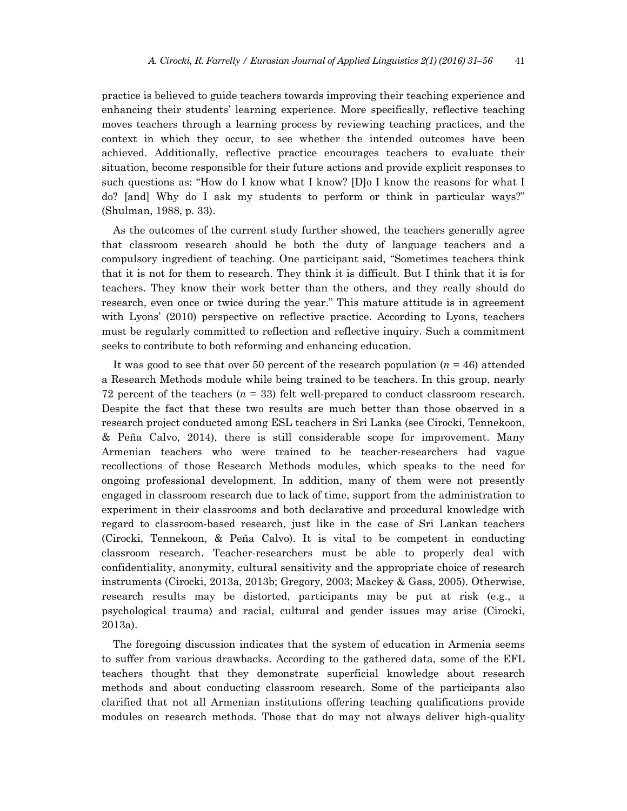practice is believed to guide teachers towards improving their teaching experience and enhancing their students' learning experience. More specifically, reflective teaching moves teachers through a learning process by reviewing teaching practices, and the context in which they occur, to see whether the intended outcomes have been achieved. Additionally, reflective practice encourages teachers to evaluate their situation, become responsible for their future actions and provide explicit responses to such questions as: "How do I know what I know? [D]o I know the reasons for what I do? [and] Why do I ask my students to perform or think in particular ways?" (Shulman, 1988, p. 33).

As the outcomes of the current study further showed, the teachers generally agree that classroom research should be both the duty of language teachers and a compulsory ingredient of teaching. One participant said, "Sometimes teachers think that it is not for them to research. They think it is difficult. But I think that it is for teachers. They know their work better than the others, and they really should do research, even once or twice during the year." This mature attitude is in agreement with Lyons' (2010) perspective on reflective practice. According to Lyons, teachers must be regularly committed to reflection and reflective inquiry. Such a commitment seeks to contribute to both reforming and enhancing education.

It was good to see that over 50 percent of the research population  $(n = 46)$  attended a Research Methods module while being trained to be teachers. In this group, nearly 72 percent of the teachers  $(n = 33)$  felt well-prepared to conduct classroom research. Despite the fact that these two results are much better than those observed in a research project conducted among ESL teachers in Sri Lanka (see Cirocki, Tennekoon, & Peña Calvo, 2014), there is still considerable scope for improvement. Many Armenian teachers who were trained to be teacher-researchers had vague recollections of those Research Methods modules, which speaks to the need for ongoing professional development. In addition, many of them were not presently engaged in classroom research due to lack of time, support from the administration to experiment in their classrooms and both declarative and procedural knowledge with regard to classroom-based research, just like in the case of Sri Lankan teachers (Cirocki, Tennekoon, & Peña Calvo). It is vital to be competent in conducting classroom research. Teacher-researchers must be able to properly deal with confidentiality, anonymity, cultural sensitivity and the appropriate choice of research instruments (Cirocki, 2013a, 2013b; Gregory, 2003; Mackey & Gass, 2005). Otherwise, research results may be distorted, participants may be put at risk (e.g., a psychological trauma) and racial, cultural and gender issues may arise (Cirocki, 2013a).

The foregoing discussion indicates that the system of education in Armenia seems to suffer from various drawbacks. According to the gathered data, some of the EFL teachers thought that they demonstrate superficial knowledge about research methods and about conducting classroom research. Some of the participants also clarified that not all Armenian institutions offering teaching qualifications provide modules on research methods. Those that do may not always deliver high-quality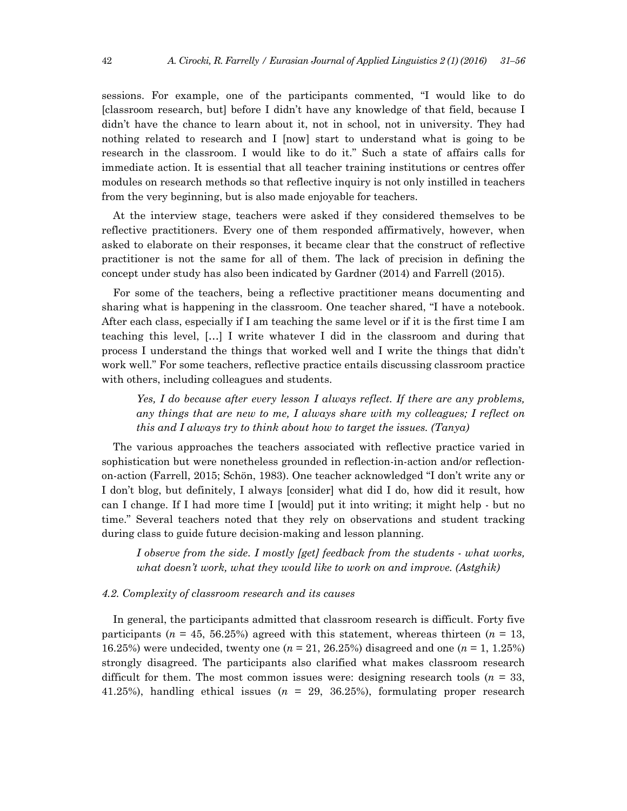sessions. For example, one of the participants commented, "I would like to do [classroom research, but] before I didn't have any knowledge of that field, because I didn't have the chance to learn about it, not in school, not in university. They had nothing related to research and I [now] start to understand what is going to be research in the classroom. I would like to do it." Such a state of affairs calls for immediate action. It is essential that all teacher training institutions or centres offer modules on research methods so that reflective inquiry is not only instilled in teachers from the very beginning, but is also made enjoyable for teachers.

At the interview stage, teachers were asked if they considered themselves to be reflective practitioners. Every one of them responded affirmatively, however, when asked to elaborate on their responses, it became clear that the construct of reflective practitioner is not the same for all of them. The lack of precision in defining the concept under study has also been indicated by Gardner (2014) and Farrell (2015).

For some of the teachers, being a reflective practitioner means documenting and sharing what is happening in the classroom. One teacher shared, "I have a notebook. After each class, especially if I am teaching the same level or if it is the first time I am teaching this level, […] I write whatever I did in the classroom and during that process I understand the things that worked well and I write the things that didn't work well." For some teachers, reflective practice entails discussing classroom practice with others, including colleagues and students.

*Yes, I do because after every lesson I always reflect. If there are any problems, any things that are new to me, I always share with my colleagues; I reflect on this and I always try to think about how to target the issues. (Tanya)* 

The various approaches the teachers associated with reflective practice varied in sophistication but were nonetheless grounded in reflection-in-action and/or reflectionon-action (Farrell, 2015; Schön, 1983). One teacher acknowledged "I don't write any or I don't blog, but definitely, I always [consider] what did I do, how did it result, how can I change. If I had more time I [would] put it into writing; it might help - but no time." Several teachers noted that they rely on observations and student tracking during class to guide future decision-making and lesson planning.

*I* observe from the side. I mostly [get] feedback from the students - what works, *what doesn't work, what they would like to work on and improve. (Astghik)* 

### *4.2. Complexity of classroom research and its causes*

In general, the participants admitted that classroom research is difficult. Forty five participants ( $n = 45, 56.25\%$ ) agreed with this statement, whereas thirteen ( $n = 13$ , 16.25%) were undecided, twenty one (*n* = 21, 26.25%) disagreed and one (*n* = 1, 1.25%) strongly disagreed. The participants also clarified what makes classroom research difficult for them. The most common issues were: designing research tools  $(n = 33,$ 41.25%), handling ethical issues  $(n = 29, 36.25%)$ , formulating proper research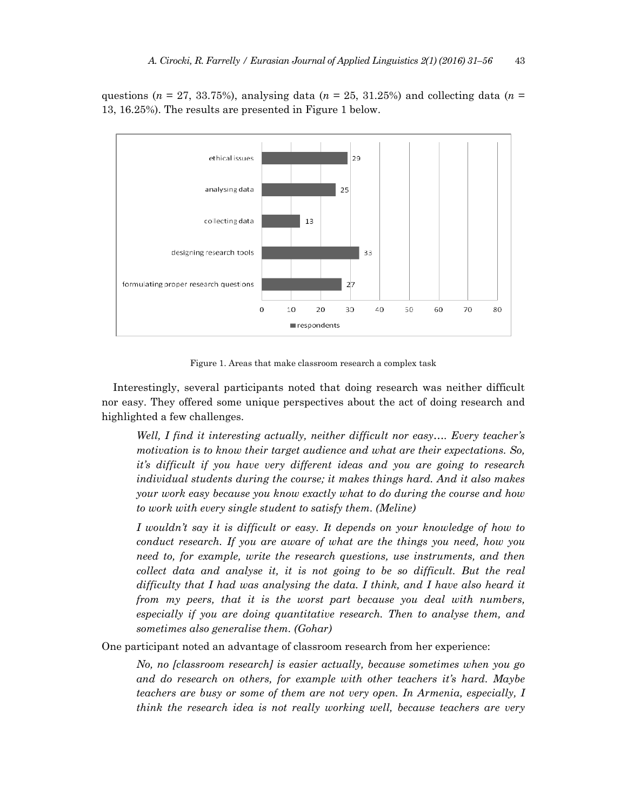questions ( $n = 27, 33.75\%$ ), analysing data ( $n = 25, 31.25\%$ ) and collecting data ( $n =$ 13, 16.25%). The results are presented in Figure 1 below.



Figure 1. Areas that make classroom research a complex task

Interestingly, several participants noted that doing research was neither difficult nor easy. They offered some unique perspectives about the act of doing research and highlighted a few challenges.

*Well, I find it interesting actually, neither difficult nor easy…. Every teacher's motivation is to know their target audience and what are their expectations. So, it's difficult if you have very different ideas and you are going to research individual students during the course; it makes things hard. And it also makes your work easy because you know exactly what to do during the course and how to work with every single student to satisfy them. (Meline)* 

*I wouldn't say it is difficult or easy. It depends on your knowledge of how to conduct research. If you are aware of what are the things you need, how you need to, for example, write the research questions, use instruments, and then collect data and analyse it, it is not going to be so difficult. But the real difficulty that I had was analysing the data. I think, and I have also heard it from my peers, that it is the worst part because you deal with numbers, especially if you are doing quantitative research. Then to analyse them, and sometimes also generalise them. (Gohar)* 

One participant noted an advantage of classroom research from her experience:

*No, no [classroom research] is easier actually, because sometimes when you go and do research on others, for example with other teachers it's hard. Maybe teachers are busy or some of them are not very open. In Armenia, especially, I think the research idea is not really working well, because teachers are very*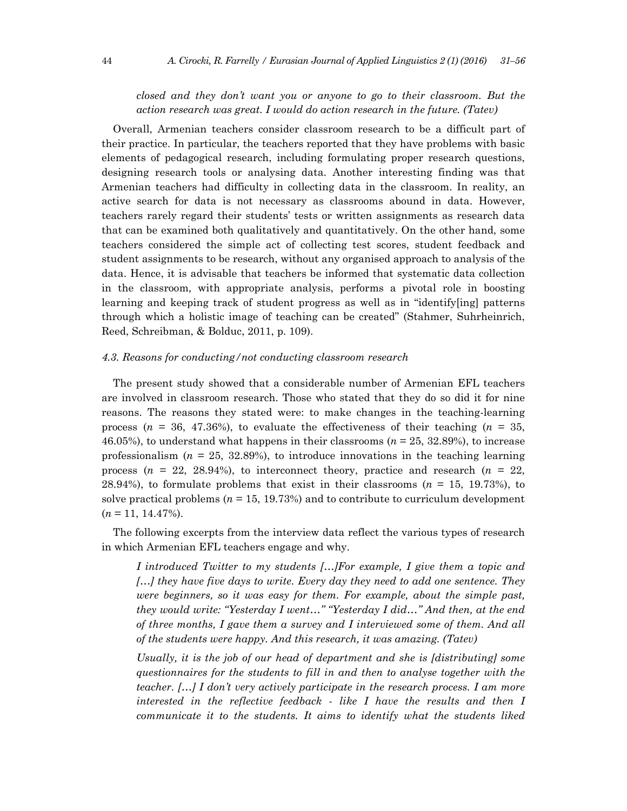# *closed and they don't want you or anyone to go to their classroom. But the action research was great. I would do action research in the future. (Tatev)*

Overall, Armenian teachers consider classroom research to be a difficult part of their practice. In particular, the teachers reported that they have problems with basic elements of pedagogical research, including formulating proper research questions, designing research tools or analysing data. Another interesting finding was that Armenian teachers had difficulty in collecting data in the classroom. In reality, an active search for data is not necessary as classrooms abound in data. However, teachers rarely regard their students' tests or written assignments as research data that can be examined both qualitatively and quantitatively. On the other hand, some teachers considered the simple act of collecting test scores, student feedback and student assignments to be research, without any organised approach to analysis of the data. Hence, it is advisable that teachers be informed that systematic data collection in the classroom, with appropriate analysis, performs a pivotal role in boosting learning and keeping track of student progress as well as in "identify[ing] patterns through which a holistic image of teaching can be created" (Stahmer, Suhrheinrich, Reed, Schreibman, & Bolduc, 2011, p. 109).

### *4.3. Reasons for conducting/not conducting classroom research*

The present study showed that a considerable number of Armenian EFL teachers are involved in classroom research. Those who stated that they do so did it for nine reasons. The reasons they stated were: to make changes in the teaching-learning process  $(n = 36, 47.36\%)$ , to evaluate the effectiveness of their teaching  $(n = 35,$ 46.05%), to understand what happens in their classrooms (*n* = 25, 32.89%), to increase professionalism  $(n = 25, 32.89%)$ , to introduce innovations in the teaching learning process  $(n = 22, 28.94)$ , to interconnect theory, practice and research  $(n = 22, 28.94)$ 28.94%), to formulate problems that exist in their classrooms (*n* = 15, 19.73%), to solve practical problems ( $n = 15, 19.73\%$ ) and to contribute to curriculum development  $(n = 11, 14.47\%).$ 

The following excerpts from the interview data reflect the various types of research in which Armenian EFL teachers engage and why.

*I introduced Twitter to my students […]For example, I give them a topic and […] they have five days to write. Every day they need to add one sentence. They were beginners, so it was easy for them. For example, about the simple past, they would write: "Yesterday I went…" "Yesterday I did…" And then, at the end of three months, I gave them a survey and I interviewed some of them. And all of the students were happy. And this research, it was amazing. (Tatev)* 

*Usually, it is the job of our head of department and she is [distributing] some questionnaires for the students to fill in and then to analyse together with the teacher. […] I don't very actively participate in the research process. I am more interested in the reflective feedback - like I have the results and then I communicate it to the students. It aims to identify what the students liked*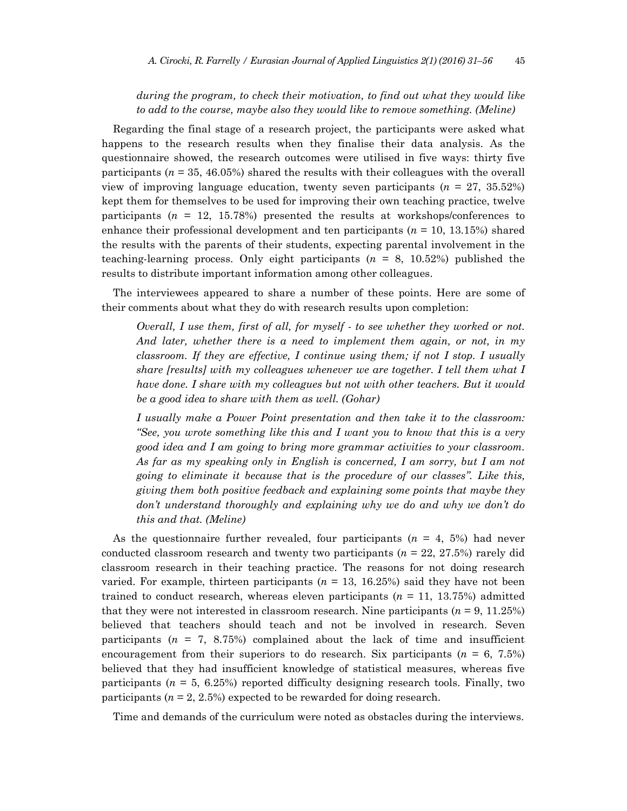# *during the program, to check their motivation, to find out what they would like to add to the course, maybe also they would like to remove something. (Meline)*

Regarding the final stage of a research project, the participants were asked what happens to the research results when they finalise their data analysis. As the questionnaire showed, the research outcomes were utilised in five ways: thirty five participants  $(n = 35, 46.05\%)$  shared the results with their colleagues with the overall view of improving language education, twenty seven participants (*n* = 27, 35.52%) kept them for themselves to be used for improving their own teaching practice, twelve participants  $(n = 12, 15.78%)$  presented the results at workshops/conferences to enhance their professional development and ten participants (*n* = 10, 13.15%) shared the results with the parents of their students, expecting parental involvement in the teaching-learning process. Only eight participants (*n* = 8, 10.52%) published the results to distribute important information among other colleagues.

The interviewees appeared to share a number of these points. Here are some of their comments about what they do with research results upon completion:

*Overall, I use them, first of all, for myself - to see whether they worked or not. And later, whether there is a need to implement them again, or not, in my classroom. If they are effective, I continue using them; if not I stop. I usually share [results] with my colleagues whenever we are together. I tell them what I have done. I share with my colleagues but not with other teachers. But it would be a good idea to share with them as well. (Gohar)* 

*I usually make a Power Point presentation and then take it to the classroom: "See, you wrote something like this and I want you to know that this is a very good idea and I am going to bring more grammar activities to your classroom. As far as my speaking only in English is concerned, I am sorry, but I am not going to eliminate it because that is the procedure of our classes". Like this, giving them both positive feedback and explaining some points that maybe they don't understand thoroughly and explaining why we do and why we don't do this and that. (Meline)* 

As the questionnaire further revealed, four participants (*n* = 4, 5%) had never conducted classroom research and twenty two participants (*n* = 22, 27.5%) rarely did classroom research in their teaching practice. The reasons for not doing research varied. For example, thirteen participants  $(n = 13, 16.25%)$  said they have not been trained to conduct research, whereas eleven participants  $(n = 11, 13.75%)$  admitted that they were not interested in classroom research. Nine participants  $(n = 9, 11.25%)$ believed that teachers should teach and not be involved in research. Seven participants ( $n = 7$ , 8.75%) complained about the lack of time and insufficient encouragement from their superiors to do research. Six participants  $(n = 6, 7.5\%)$ believed that they had insufficient knowledge of statistical measures, whereas five participants  $(n = 5, 6.25\%)$  reported difficulty designing research tools. Finally, two participants (*n* = 2, 2.5%) expected to be rewarded for doing research.

Time and demands of the curriculum were noted as obstacles during the interviews.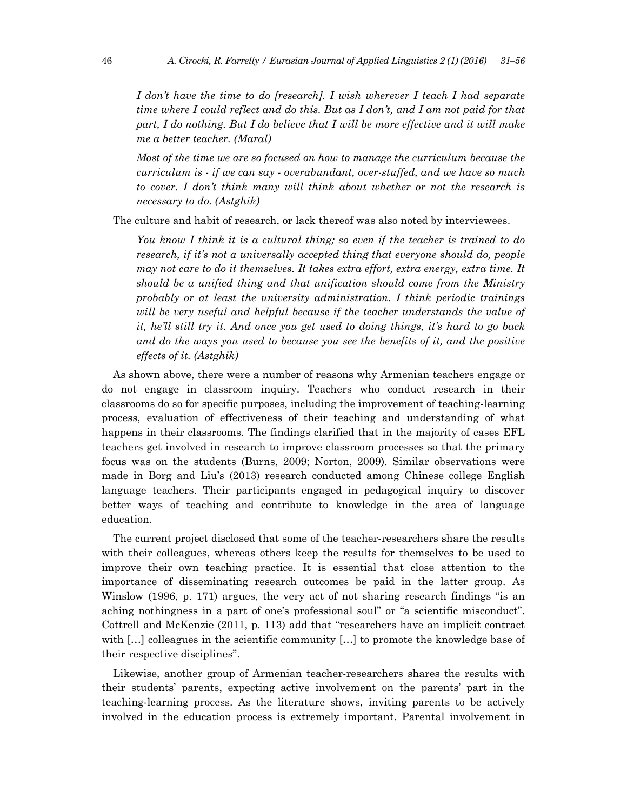*I don't have the time to do [research]. I wish wherever I teach I had separate time where I could reflect and do this. But as I don't, and I am not paid for that part, I do nothing. But I do believe that I will be more effective and it will make me a better teacher. (Maral)* 

*Most of the time we are so focused on how to manage the curriculum because the curriculum is - if we can say - overabundant, over-stuffed, and we have so much to cover. I don't think many will think about whether or not the research is necessary to do. (Astghik)* 

The culture and habit of research, or lack thereof was also noted by interviewees.

*You know I think it is a cultural thing; so even if the teacher is trained to do research, if it's not a universally accepted thing that everyone should do, people may not care to do it themselves. It takes extra effort, extra energy, extra time. It should be a unified thing and that unification should come from the Ministry probably or at least the university administration. I think periodic trainings will be very useful and helpful because if the teacher understands the value of it, he'll still try it. And once you get used to doing things, it's hard to go back and do the ways you used to because you see the benefits of it, and the positive effects of it. (Astghik)* 

As shown above, there were a number of reasons why Armenian teachers engage or do not engage in classroom inquiry. Teachers who conduct research in their classrooms do so for specific purposes, including the improvement of teaching-learning process, evaluation of effectiveness of their teaching and understanding of what happens in their classrooms. The findings clarified that in the majority of cases EFL teachers get involved in research to improve classroom processes so that the primary focus was on the students (Burns, 2009; Norton, 2009). Similar observations were made in Borg and Liu's (2013) research conducted among Chinese college English language teachers. Their participants engaged in pedagogical inquiry to discover better ways of teaching and contribute to knowledge in the area of language education.

The current project disclosed that some of the teacher-researchers share the results with their colleagues, whereas others keep the results for themselves to be used to improve their own teaching practice. It is essential that close attention to the importance of disseminating research outcomes be paid in the latter group. As Winslow (1996, p. 171) argues, the very act of not sharing research findings "is an aching nothingness in a part of one's professional soul" or "a scientific misconduct". Cottrell and McKenzie (2011, p. 113) add that "researchers have an implicit contract with [...] colleagues in the scientific community [...] to promote the knowledge base of their respective disciplines".

Likewise, another group of Armenian teacher-researchers shares the results with their students' parents, expecting active involvement on the parents' part in the teaching-learning process. As the literature shows, inviting parents to be actively involved in the education process is extremely important. Parental involvement in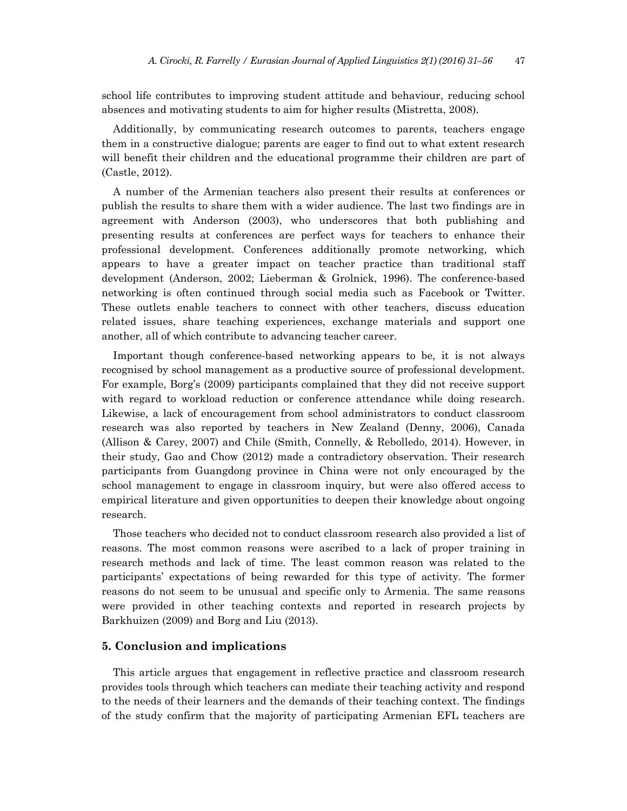school life contributes to improving student attitude and behaviour, reducing school absences and motivating students to aim for higher results (Mistretta, 2008).

Additionally, by communicating research outcomes to parents, teachers engage them in a constructive dialogue; parents are eager to find out to what extent research will benefit their children and the educational programme their children are part of (Castle, 2012).

A number of the Armenian teachers also present their results at conferences or publish the results to share them with a wider audience. The last two findings are in agreement with Anderson (2003), who underscores that both publishing and presenting results at conferences are perfect ways for teachers to enhance their professional development. Conferences additionally promote networking, which appears to have a greater impact on teacher practice than traditional staff development (Anderson, 2002; Lieberman & Grolnick, 1996). The conference-based networking is often continued through social media such as Facebook or Twitter. These outlets enable teachers to connect with other teachers, discuss education related issues, share teaching experiences, exchange materials and support one another, all of which contribute to advancing teacher career.

Important though conference-based networking appears to be, it is not always recognised by school management as a productive source of professional development. For example, Borg's (2009) participants complained that they did not receive support with regard to workload reduction or conference attendance while doing research. Likewise, a lack of encouragement from school administrators to conduct classroom research was also reported by teachers in New Zealand (Denny, 2006), Canada (Allison & Carey, 2007) and Chile (Smith, Connelly, & Rebolledo, 2014). However, in their study, Gao and Chow (2012) made a contradictory observation. Their research participants from Guangdong province in China were not only encouraged by the school management to engage in classroom inquiry, but were also offered access to empirical literature and given opportunities to deepen their knowledge about ongoing research.

Those teachers who decided not to conduct classroom research also provided a list of reasons. The most common reasons were ascribed to a lack of proper training in research methods and lack of time. The least common reason was related to the participants' expectations of being rewarded for this type of activity. The former reasons do not seem to be unusual and specific only to Armenia. The same reasons were provided in other teaching contexts and reported in research projects by Barkhuizen (2009) and Borg and Liu (2013).

#### **5. Conclusion and implications**

This article argues that engagement in reflective practice and classroom research provides tools through which teachers can mediate their teaching activity and respond to the needs of their learners and the demands of their teaching context. The findings of the study confirm that the majority of participating Armenian EFL teachers are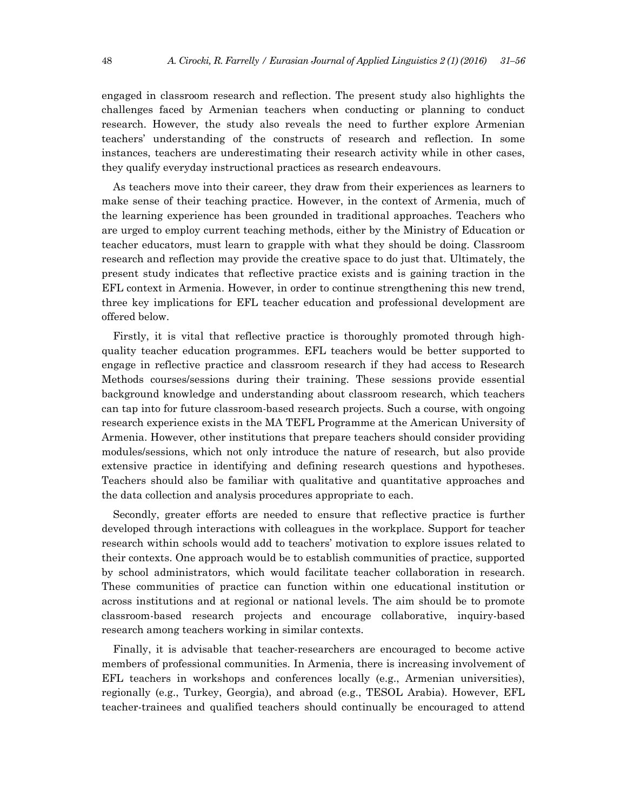engaged in classroom research and reflection. The present study also highlights the challenges faced by Armenian teachers when conducting or planning to conduct research. However, the study also reveals the need to further explore Armenian teachers' understanding of the constructs of research and reflection. In some instances, teachers are underestimating their research activity while in other cases, they qualify everyday instructional practices as research endeavours.

As teachers move into their career, they draw from their experiences as learners to make sense of their teaching practice. However, in the context of Armenia, much of the learning experience has been grounded in traditional approaches. Teachers who are urged to employ current teaching methods, either by the Ministry of Education or teacher educators, must learn to grapple with what they should be doing. Classroom research and reflection may provide the creative space to do just that. Ultimately, the present study indicates that reflective practice exists and is gaining traction in the EFL context in Armenia. However, in order to continue strengthening this new trend, three key implications for EFL teacher education and professional development are offered below.

Firstly, it is vital that reflective practice is thoroughly promoted through highquality teacher education programmes. EFL teachers would be better supported to engage in reflective practice and classroom research if they had access to Research Methods courses/sessions during their training. These sessions provide essential background knowledge and understanding about classroom research, which teachers can tap into for future classroom-based research projects. Such a course, with ongoing research experience exists in the MA TEFL Programme at the American University of Armenia. However, other institutions that prepare teachers should consider providing modules/sessions, which not only introduce the nature of research, but also provide extensive practice in identifying and defining research questions and hypotheses. Teachers should also be familiar with qualitative and quantitative approaches and the data collection and analysis procedures appropriate to each.

Secondly, greater efforts are needed to ensure that reflective practice is further developed through interactions with colleagues in the workplace. Support for teacher research within schools would add to teachers' motivation to explore issues related to their contexts. One approach would be to establish communities of practice, supported by school administrators, which would facilitate teacher collaboration in research. These communities of practice can function within one educational institution or across institutions and at regional or national levels. The aim should be to promote classroom-based research projects and encourage collaborative, inquiry-based research among teachers working in similar contexts.

Finally, it is advisable that teacher-researchers are encouraged to become active members of professional communities. In Armenia, there is increasing involvement of EFL teachers in workshops and conferences locally (e.g., Armenian universities), regionally (e.g., Turkey, Georgia), and abroad (e.g., TESOL Arabia). However, EFL teacher-trainees and qualified teachers should continually be encouraged to attend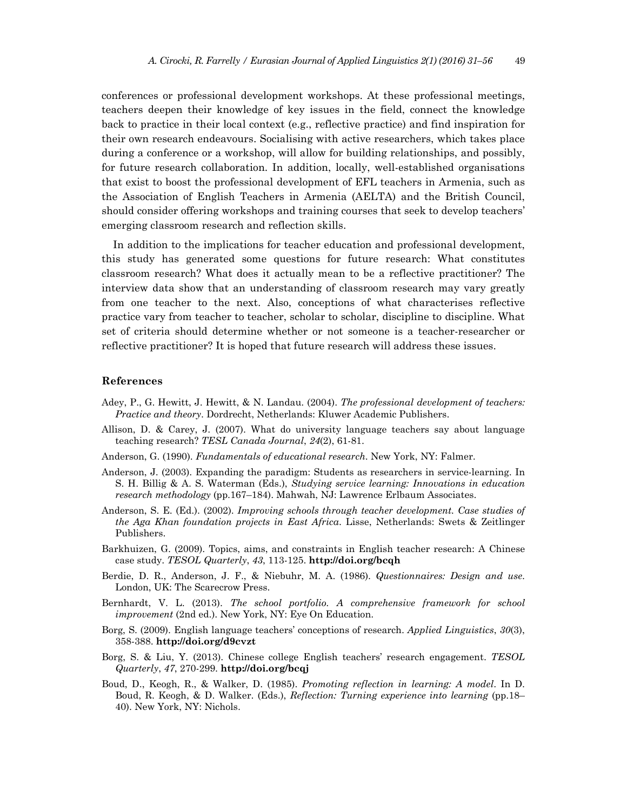conferences or professional development workshops. At these professional meetings, teachers deepen their knowledge of key issues in the field, connect the knowledge back to practice in their local context (e.g., reflective practice) and find inspiration for their own research endeavours. Socialising with active researchers, which takes place during a conference or a workshop, will allow for building relationships, and possibly, for future research collaboration. In addition, locally, well-established organisations that exist to boost the professional development of EFL teachers in Armenia, such as the Association of English Teachers in Armenia (AELTA) and the British Council, should consider offering workshops and training courses that seek to develop teachers' emerging classroom research and reflection skills.

In addition to the implications for teacher education and professional development, this study has generated some questions for future research: What constitutes classroom research? What does it actually mean to be a reflective practitioner? The interview data show that an understanding of classroom research may vary greatly from one teacher to the next. Also, conceptions of what characterises reflective practice vary from teacher to teacher, scholar to scholar, discipline to discipline. What set of criteria should determine whether or not someone is a teacher-researcher or reflective practitioner? It is hoped that future research will address these issues.

#### **References**

- Adey, P., G. Hewitt, J. Hewitt, & N. Landau. (2004). *The professional development of teachers: Practice and theory*. Dordrecht, Netherlands: Kluwer Academic Publishers.
- Allison, D. & Carey, J. (2007). What do university language teachers say about language teaching research? *TESL Canada Journal*, *24*(2), 61-81.
- Anderson, G. (1990). *Fundamentals of educational research*. New York, NY: Falmer.
- Anderson, J. (2003). Expanding the paradigm: Students as researchers in service-learning. In S. H. Billig & A. S. Waterman (Eds.), *Studying service learning: Innovations in education research methodology* (pp.167–184). Mahwah, NJ: Lawrence Erlbaum Associates.
- Anderson, S. E. (Ed.). (2002). *Improving schools through teacher development. Case studies of the Aga Khan foundation projects in East Africa*. Lisse, Netherlands: Swets & Zeitlinger Publishers.
- Barkhuizen, G. (2009). Topics, aims, and constraints in English teacher research: A Chinese case study. *TESOL Quarterly*, *43*, 113-125. **http://doi.org/bcqh**
- Berdie, D. R., Anderson, J. F., & Niebuhr, M. A. (1986). *Questionnaires: Design and use*. London, UK: The Scarecrow Press.
- Bernhardt, V. L. (2013). *The school portfolio. A comprehensive framework for school improvement* (2nd ed.). New York, NY: Eye On Education.
- Borg, S. (2009). English language teachers' conceptions of research. *Applied Linguistics*, *30*(3), 358-388. **http://doi.org/d9cvzt**
- Borg, S. & Liu, Y. (2013). Chinese college English teachers' research engagement. *TESOL Quarterly*, *47*, 270-299. **http://doi.org/bcqj**
- Boud, D., Keogh, R., & Walker, D. (1985). *Promoting reflection in learning: A model*. In D. Boud, R. Keogh, & D. Walker. (Eds.), *Reflection: Turning experience into learning* (pp.18– 40). New York, NY: Nichols.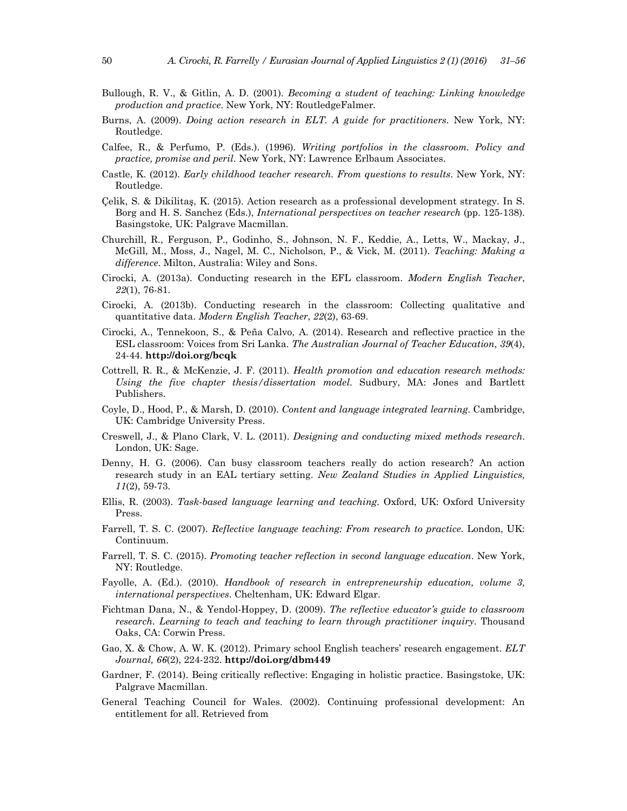- Bullough, R. V., & Gitlin, A. D. (2001). *Becoming a student of teaching: Linking knowledge production and practice*. New York, NY: RoutledgeFalmer.
- Burns, A. (2009). *Doing action research in ELT. A guide for practitioners*. New York, NY: Routledge.
- Calfee, R., & Perfumo, P. (Eds.). (1996). *Writing portfolios in the classroom. Policy and practice, promise and peril*. New York, NY: Lawrence Erlbaum Associates.
- Castle, K. (2012). *Early childhood teacher research. From questions to results*. New York, NY: Routledge.
- Çelik, S. & Dikilitaş, K. (2015). Action research as a professional development strategy. In S. Borg and H. S. Sanchez (Eds.), *International perspectives on teacher research* (pp. 125-138). Basingstoke, UK: Palgrave Macmillan.
- Churchill, R., Ferguson, P., Godinho, S., Johnson, N. F., Keddie, A., Letts, W., Mackay, J., McGill, M., Moss, J., Nagel, M. C., Nicholson, P., & Vick, M. (2011). *Teaching: Making a difference*. Milton, Australia: Wiley and Sons.
- Cirocki, A. (2013a). Conducting research in the EFL classroom. *Modern English Teacher*, *22*(1), 76-81.
- Cirocki, A. (2013b). Conducting research in the classroom: Collecting qualitative and quantitative data. *Modern English Teacher*, *22*(2), 63-69.
- Cirocki, A., Tennekoon, S., & Peña Calvo, A. (2014). Research and reflective practice in the ESL classroom: Voices from Sri Lanka. *The Australian Journal of Teacher Education*, *39*(4), 24-44. **http://doi.org/bcqk**
- Cottrell, R. R., & McKenzie, J. F. (2011). *Health promotion and education research methods: Using the five chapter thesis/dissertation model*. Sudbury, MA: Jones and Bartlett Publishers.
- Coyle, D., Hood, P., & Marsh, D. (2010). *Content and language integrated learning*. Cambridge, UK: Cambridge University Press.
- Creswell, J., & Plano Clark, V. L. (2011). *Designing and conducting mixed methods research*. London, UK: Sage.
- Denny, H. G. (2006). Can busy classroom teachers really do action research? An action research study in an EAL tertiary setting. *New Zealand Studies in Applied Linguistics, 11*(2), 59-73.
- Ellis, R. (2003). *Task-based language learning and teaching*. Oxford, UK: Oxford University Press.
- Farrell, T. S. C. (2007). *Reflective language teaching: From research to practice*. London, UK: Continuum.
- Farrell, T. S. C. (2015). *Promoting teacher reflection in second language education*. New York, NY: Routledge.
- Fayolle, A. (Ed.). (2010). *Handbook of research in entrepreneurship education, volume 3, international perspectives*. Cheltenham, UK: Edward Elgar.
- Fichtman Dana, N., & Yendol-Hoppey, D. (2009). *The reflective educator's guide to classroom research. Learning to teach and teaching to learn through practitioner inquiry*. Thousand Oaks, CA: Corwin Press.
- Gao, X. & Chow, A. W. K. (2012). Primary school English teachers' research engagement. *ELT Journal, 66*(2), 224-232. **http://doi.org/dbm449**
- Gardner, F. (2014). Being critically reflective: Engaging in holistic practice. Basingstoke, UK: Palgrave Macmillan.
- General Teaching Council for Wales. (2002). Continuing professional development: An entitlement for all. Retrieved from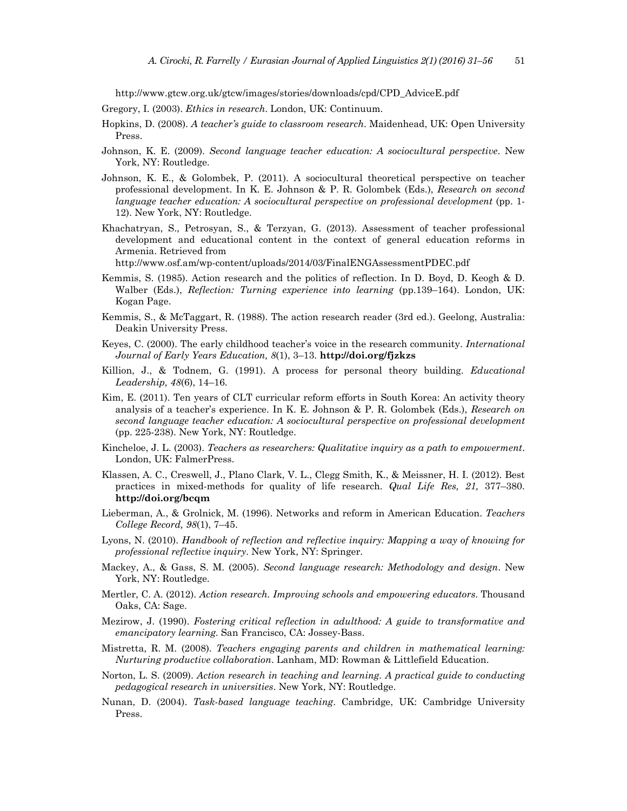http://www.gtcw.org.uk/gtcw/images/stories/downloads/cpd/CPD\_AdviceE.pdf

- Gregory, I. (2003). *Ethics in research*. London, UK: Continuum.
- Hopkins, D. (2008). *A teacher's guide to classroom research*. Maidenhead, UK: Open University Press.
- Johnson, K. E. (2009). *Second language teacher education: A sociocultural perspective*. New York, NY: Routledge.
- Johnson, K. E., & Golombek, P. (2011). A sociocultural theoretical perspective on teacher professional development. In K. E. Johnson & P. R. Golombek (Eds.), *Research on second language teacher education: A sociocultural perspective on professional development* (pp. 1- 12). New York, NY: Routledge.
- Khachatryan, S., Petrosyan, S., & Terzyan, G. (2013). Assessment of teacher professional development and educational content in the context of general education reforms in Armenia. Retrieved from

http://www.osf.am/wp-content/uploads/2014/03/FinalENGAssessmentPDEC.pdf

- Kemmis, S. (1985). Action research and the politics of reflection. In D. Boyd, D. Keogh & D. Walber (Eds.), *Reflection: Turning experience into learning* (pp.139–164). London, UK: Kogan Page.
- Kemmis, S., & McTaggart, R. (1988). The action research reader (3rd ed.). Geelong, Australia: Deakin University Press.
- Keyes, C. (2000). The early childhood teacher's voice in the research community. *International Journal of Early Years Education, 8*(1), 3–13. **http://doi.org/fjzkzs**
- Killion, J., & Todnem, G. (1991). A process for personal theory building. *Educational Leadership, 48*(6), 14–16.
- Kim, E. (2011). Ten years of CLT curricular reform efforts in South Korea: An activity theory analysis of a teacher's experience. In K. E. Johnson & P. R. Golombek (Eds.), *Research on second language teacher education: A sociocultural perspective on professional development* (pp. 225-238). New York, NY: Routledge.
- Kincheloe, J. L. (2003). *Teachers as researchers: Qualitative inquiry as a path to empowerment*. London, UK: FalmerPress.
- Klassen, A. C., Creswell, J., Plano Clark, V. L., Clegg Smith, K., & Meissner, H. I. (2012). Best practices in mixed-methods for quality of life research. *Qual Life Res, 21,* 377–380. **http://doi.org/bcqm**
- Lieberman, A., & Grolnick, M. (1996). Networks and reform in American Education. *Teachers College Record, 98*(1), 7–45.
- Lyons, N. (2010). *Handbook of reflection and reflective inquiry: Mapping a way of knowing for professional reflective inquiry*. New York, NY: Springer.
- Mackey, A., & Gass, S. M. (2005). *Second language research: Methodology and design*. New York, NY: Routledge.
- Mertler, C. A. (2012). *Action research. Improving schools and empowering educators*. Thousand Oaks, CA: Sage.
- Mezirow, J. (1990). *Fostering critical reflection in adulthood: A guide to transformative and emancipatory learning*. San Francisco, CA: Jossey-Bass.
- Mistretta, R. M. (2008). *Teachers engaging parents and children in mathematical learning: Nurturing productive collaboration*. Lanham, MD: Rowman & Littlefield Education.
- Norton, L. S. (2009). *Action research in teaching and learning. A practical guide to conducting pedagogical research in universities*. New York, NY: Routledge.
- Nunan, D. (2004). *Task-based language teaching*. Cambridge, UK: Cambridge University Press.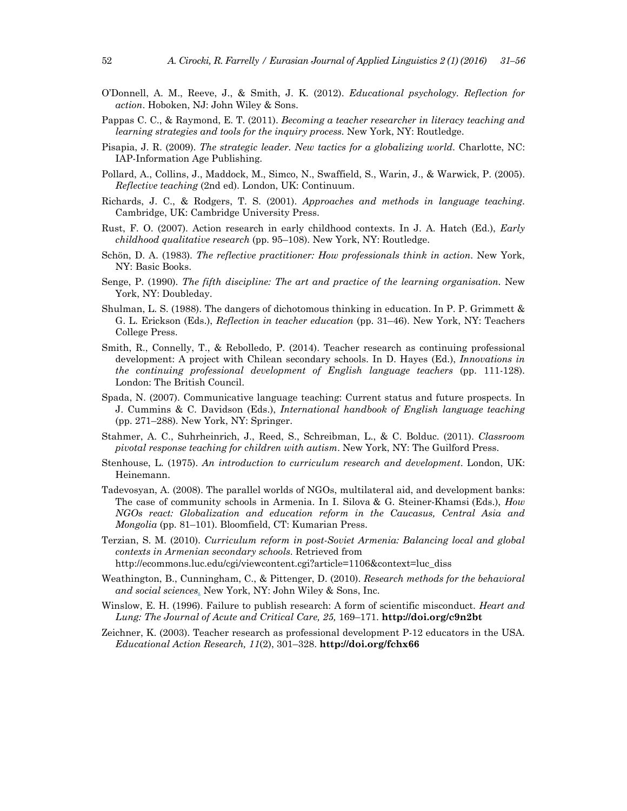- O'Donnell, A. M., Reeve, J., & Smith, J. K. (2012). *Educational psychology. Reflection for action*. Hoboken, NJ: John Wiley & Sons.
- Pappas C. C., & Raymond, E. T. (2011). *Becoming a teacher researcher in literacy teaching and learning strategies and tools for the inquiry process.* New York, NY: Routledge.
- Pisapia, J. R. (2009). *The strategic leader. New tactics for a globalizing world*. Charlotte, NC: IAP-Information Age Publishing.
- Pollard, A., Collins, J., Maddock, M., Simco, N., Swaffield, S., Warin, J., & Warwick, P. (2005). *Reflective teaching* (2nd ed). London, UK: Continuum.
- Richards, J. C., & Rodgers, T. S. (2001). *Approaches and methods in language teaching*. Cambridge, UK: Cambridge University Press.
- Rust, F. O. (2007). Action research in early childhood contexts. In J. A. Hatch (Ed.), *Early childhood qualitative research* (pp. 95–108). New York, NY: Routledge.
- Schön, D. A. (1983). *The reflective practitioner: How professionals think in action*. New York, NY: Basic Books.
- Senge, P. (1990). *The fifth discipline: The art and practice of the learning organisation.* New York, NY: Doubleday.
- Shulman, L. S. (1988). The dangers of dichotomous thinking in education. In P. P. Grimmett & G. L. Erickson (Eds.), *Reflection in teacher education* (pp. 31–46). New York, NY: Teachers College Press.
- Smith, R., Connelly, T., & Rebolledo, P. (2014). Teacher research as continuing professional development: A project with Chilean secondary schools. In D. Hayes (Ed.), *Innovations in the continuing professional development of English language teachers* (pp. 111-128). London: The British Council.
- Spada, N. (2007). Communicative language teaching: Current status and future prospects. In J. Cummins & C. Davidson (Eds.), *International handbook of English language teaching* (pp. 271–288). New York, NY: Springer.
- Stahmer, A. C., Suhrheinrich, J., Reed, S., Schreibman, L., & C. Bolduc. (2011). *Classroom pivotal response teaching for children with autism*. New York, NY: The Guilford Press.
- Stenhouse, L. (1975). *An introduction to curriculum research and development*. London, UK: Heinemann.
- Tadevosyan, A. (2008). The parallel worlds of NGOs, multilateral aid, and development banks: The case of community schools in Armenia. In I. Silova & G. Steiner-Khamsi (Eds.), *How NGOs react: Globalization and education reform in the Caucasus, Central Asia and Mongolia* (pp. 81–101). Bloomfield, CT: Kumarian Press.
- Terzian, S. M. (2010). *Curriculum reform in post-Soviet Armenia: Balancing local and global contexts in Armenian secondary schools*. Retrieved from http://ecommons.luc.edu/cgi/viewcontent.cgi?article=1106&context=luc\_diss
- Weathington, B., Cunningham, C., & Pittenger, D. (2010). *Research methods for the behavioral and social sciences.* New York, NY: John Wiley & Sons, Inc.
- Winslow, E. H. (1996). Failure to publish research: A form of scientific misconduct. *Heart and Lung: The Journal of Acute and Critical Care, 25,* 169–171. **http://doi.org/c9n2bt**
- Zeichner, K. (2003). Teacher research as professional development P-12 educators in the USA. *Educational Action Research, 11*(2), 301–328. **http://doi.org/fchx66**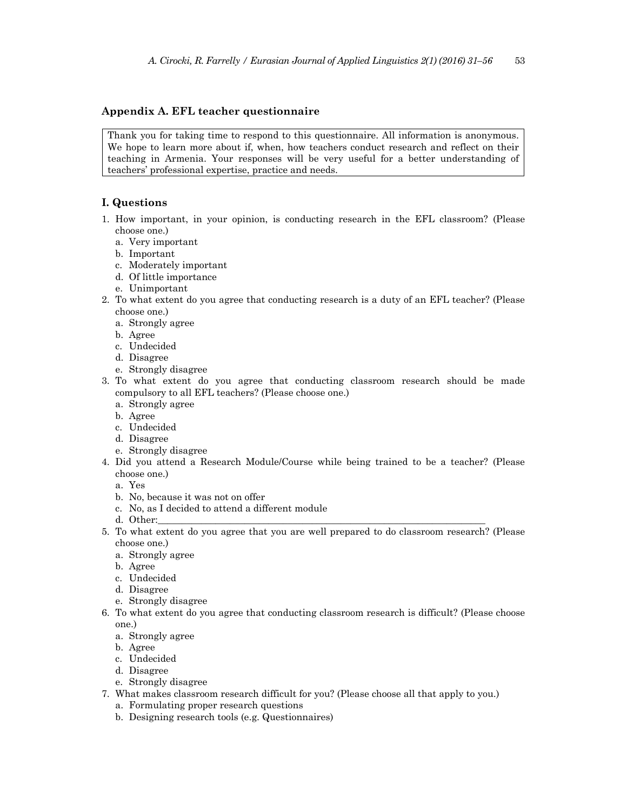## **Appendix A. EFL teacher questionnaire**

Thank you for taking time to respond to this questionnaire. All information is anonymous. We hope to learn more about if, when, how teachers conduct research and reflect on their teaching in Armenia. Your responses will be very useful for a better understanding of teachers' professional expertise, practice and needs.

## **I. Questions**

- 1. How important, in your opinion, is conducting research in the EFL classroom? (Please choose one.)
	- a. Very important
	- b. Important
	- c. Moderately important
	- d. Of little importance
	- e. Unimportant
- 2. To what extent do you agree that conducting research is a duty of an EFL teacher? (Please choose one.)
	- a. Strongly agree
	- b. Agree
	- c. Undecided
	- d. Disagree
	- e. Strongly disagree
- 3. To what extent do you agree that conducting classroom research should be made compulsory to all EFL teachers? (Please choose one.)
	- a. Strongly agree
	- b. Agree
	- c. Undecided
	- d. Disagree
	- e. Strongly disagree
- 4. Did you attend a Research Module/Course while being trained to be a teacher? (Please choose one.)
	- a. Yes
	- b. No, because it was not on offer
	- c. No, as I decided to attend a different module
	- d. Other:
- 5. To what extent do you agree that you are well prepared to do classroom research? (Please choose one.)
	- a. Strongly agree
	- b. Agree
	- c. Undecided
	- d. Disagree
	- e. Strongly disagree
- 6. To what extent do you agree that conducting classroom research is difficult? (Please choose one.)
	- a. Strongly agree
	- b. Agree
	- c. Undecided
	- d. Disagree
	- e. Strongly disagree
- 7. What makes classroom research difficult for you? (Please choose all that apply to you.)
	- a. Formulating proper research questions
	- b. Designing research tools (e.g. Questionnaires)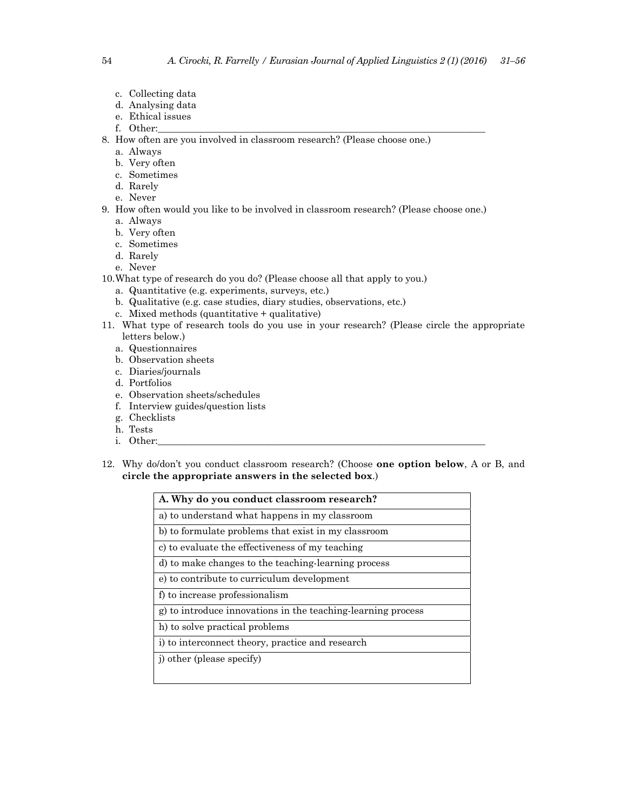- c. Collecting data
- d. Analysing data
- e. Ethical issues
- f. Other:
- 8. How often are you involved in classroom research? (Please choose one.)
	- a. Always
	- b. Very often
	- c. Sometimes
	- d. Rarely
	- e. Never
- 9. How often would you like to be involved in classroom research? (Please choose one.)
	- a. Always
	- b. Very often
	- c. Sometimes
	- d. Rarely
	- e. Never
- 10.What type of research do you do? (Please choose all that apply to you.)
	- a. Quantitative (e.g. experiments, surveys, etc.)
	- b. Qualitative (e.g. case studies, diary studies, observations, etc.)
	- c. Mixed methods (quantitative + qualitative)
- 11. What type of research tools do you use in your research? (Please circle the appropriate letters below.)
	- a. Questionnaires
	- b. Observation sheets
	- c. Diaries/journals
	- d. Portfolios
	- e. Observation sheets/schedules
	- f. Interview guides/question lists
	- g. Checklists
	- h. Tests
	- i. Other:
- 12. Why do/don't you conduct classroom research? (Choose **one option below**, A or B, and **circle the appropriate answers in the selected box**.)

| A. Why do you conduct classroom research?                    |
|--------------------------------------------------------------|
| a) to understand what happens in my classroom                |
| b) to formulate problems that exist in my classroom          |
| c) to evaluate the effectiveness of my teaching              |
| d) to make changes to the teaching-learning process          |
| e) to contribute to curriculum development                   |
| f) to increase professionalism                               |
| g) to introduce innovations in the teaching-learning process |
| h) to solve practical problems                               |
| i) to interconnect theory, practice and research             |
| j) other (please specify)                                    |
|                                                              |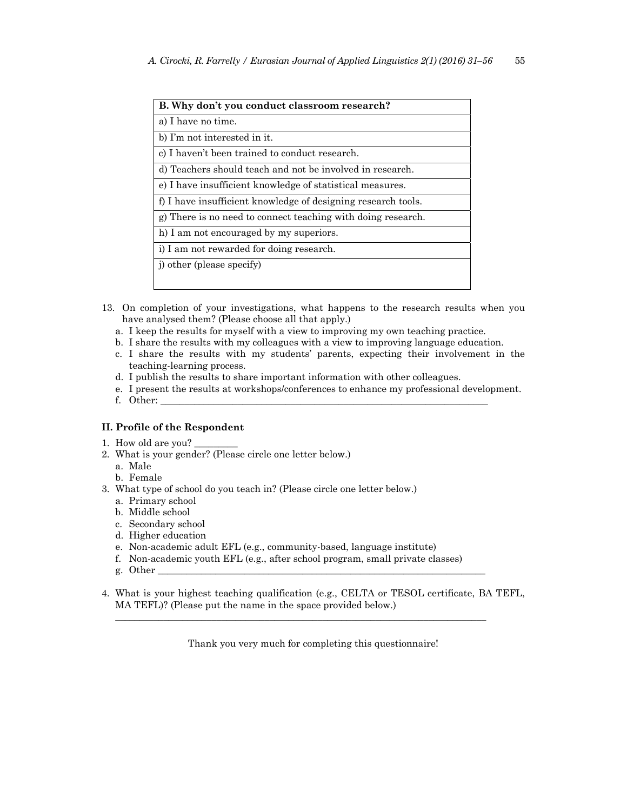| B. Why don't you conduct classroom research?                  |
|---------------------------------------------------------------|
| a) I have no time.                                            |
| b) I'm not interested in it.                                  |
| c) I haven't been trained to conduct research.                |
| d) Teachers should teach and not be involved in research.     |
| e) I have insufficient knowledge of statistical measures.     |
| f) I have insufficient knowledge of designing research tools. |
| g) There is no need to connect teaching with doing research.  |
| h) I am not encouraged by my superiors.                       |
| i) I am not rewarded for doing research.                      |
| j) other (please specify)                                     |
|                                                               |

- 13. On completion of your investigations, what happens to the research results when you have analysed them? (Please choose all that apply.)
	- a. I keep the results for myself with a view to improving my own teaching practice.
	- b. I share the results with my colleagues with a view to improving language education.
	- c. I share the results with my students' parents, expecting their involvement in the teaching-learning process.
	- d. I publish the results to share important information with other colleagues.
	- e. I present the results at workshops/conferences to enhance my professional development.
	- f. Other: \_\_\_\_\_\_\_\_\_\_\_\_\_\_\_\_\_\_\_\_\_\_\_\_\_\_\_\_\_\_\_\_\_\_\_\_\_\_\_\_\_\_\_\_\_\_\_\_\_\_\_\_\_\_\_\_\_\_\_\_\_\_\_\_\_\_\_\_

# **II. Profile of the Respondent**

- 1. How old are you?
- 2. What is your gender? (Please circle one letter below.)
	- a. Male
	- b. Female
- 3. What type of school do you teach in? (Please circle one letter below.)
	- a. Primary school
	- b. Middle school
	- c. Secondary school
	- d. Higher education
	- e. Non-academic adult EFL (e.g., community-based, language institute)
	- f. Non-academic youth EFL (e.g., after school program, small private classes)
	- g. Other \_\_\_\_\_\_\_\_\_\_\_\_\_\_\_\_\_\_\_\_\_\_\_\_\_\_\_\_\_\_\_\_\_\_\_\_\_\_\_\_\_\_\_\_\_\_\_\_\_\_\_\_\_\_\_\_\_\_\_\_\_\_\_\_\_\_\_\_
- 4. What is your highest teaching qualification (e.g., CELTA or TESOL certificate, BA TEFL, MA TEFL)? (Please put the name in the space provided below.)

\_\_\_\_\_\_\_\_\_\_\_\_\_\_\_\_\_\_\_\_\_\_\_\_\_\_\_\_\_\_\_\_\_\_\_\_\_\_\_\_\_\_\_\_\_\_\_\_\_\_\_\_\_\_\_\_\_\_\_\_\_\_\_\_\_\_\_\_\_\_\_\_\_\_\_\_\_

Thank you very much for completing this questionnaire!